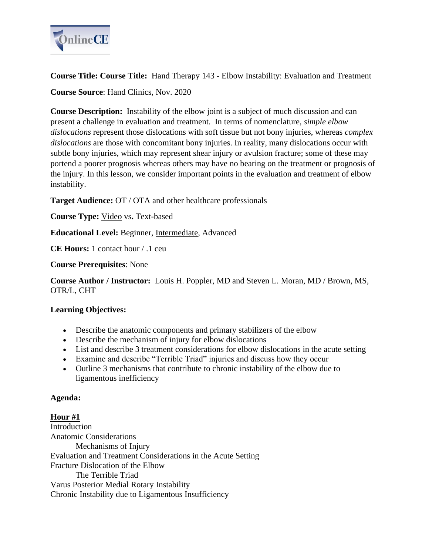

**Course Title: Course Title:** Hand Therapy 143 - Elbow Instability: Evaluation and Treatment **Course Source**: Hand Clinics, Nov. 2020

**Course Description:** Instability of the elbow joint is a subject of much discussion and can present a challenge in evaluation and treatment. In terms of nomenclature, *simple elbow dislocations* represent those dislocations with soft tissue but not bony injuries, whereas *complex dislocations* are those with concomitant bony injuries. In reality, many dislocations occur with subtle bony injuries, which may represent shear injury or avulsion fracture; some of these may portend a poorer prognosis whereas others may have no bearing on the treatment or prognosis of the injury. In this lesson, we consider important points in the evaluation and treatment of elbow instability.

**Target Audience:** OT / OTA and other healthcare professionals

**Course Type:** Video vs**.** Text-based

**Educational Level:** Beginner, Intermediate, Advanced

**CE Hours:** 1 contact hour / .1 ceu

**Course Prerequisites**: None

**Course Author / Instructor:** Louis H. Poppler, MD and Steven L. Moran, MD / Brown, MS, OTR/L, CHT

# **Learning Objectives:**

- Describe the anatomic components and primary stabilizers of the elbow
- Describe the mechanism of injury for elbow dislocations
- List and describe 3 treatment considerations for elbow dislocations in the acute setting
- Examine and describe "Terrible Triad" injuries and discuss how they occur
- Outline 3 mechanisms that contribute to chronic instability of the elbow due to ligamentous inefficiency

#### **Agenda:**

**Hour #1 Introduction** Anatomic Considerations Mechanisms of Injury Evaluation and Treatment Considerations in the Acute Setting Fracture Dislocation of the Elbow The Terrible Triad Varus Posterior Medial Rotary Instability Chronic Instability due to Ligamentous Insufficiency